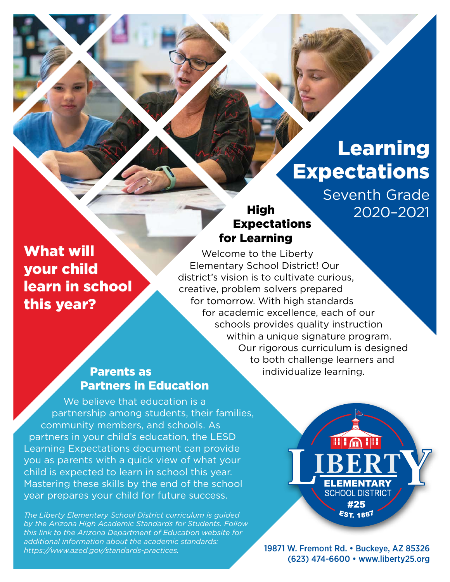# Learning Expectations

Seventh Grade 2020–2021

# High Expectations for Learning

What will your child learn in school this year?

Welcome to the Liberty Elementary School District! Our district's vision is to cultivate curious, creative, problem solvers prepared for tomorrow. With high standards for academic excellence, each of our schools provides quality instruction within a unique signature program. Our rigorous curriculum is designed to both challenge learners and individualize learning.

# Parents as Partners in Education

We believe that education is a partnership among students, their families, community members, and schools. As partners in your child's education, the LESD Learning Expectations document can provide you as parents with a quick view of what your child is expected to learn in school this year. Mastering these skills by the end of the school year prepares your child for future success.

*The Liberty Elementary School District curriculum is guided by the Arizona High Academic Standards for Students. Follow this link to the Arizona Department of Education website for additional information about the academic standards: [https://www.azed.gov/standards-practices.](https://www.azed.gov/standards-practices)*

**FILA III ELEMENTARY SCHOOL DISTRICT** #25 **EST. 1887** 

19871 W. Fremont Rd. • Buckeye, AZ 85326 (623) 474-6600 • [www.liberty25.org](http://www.liberty25.org)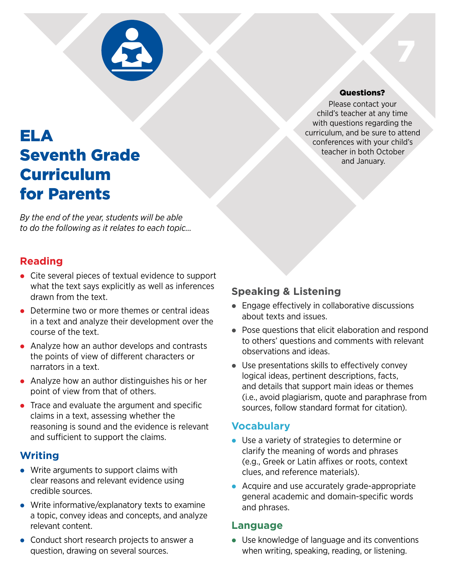

# ELA Seventh Grade Curriculum for Parents

*By the end of the year, students will be able to do the following as it relates to each topic…*

# **Reading**

- $\bullet$  Cite several pieces of textual evidence to support what the text says explicitly as well as inferences drawn from the text.
- Determine two or more themes or central ideas in a text and analyze their development over the course of the text.
- Analyze how an author develops and contrasts the points of view of different characters or narrators in a text.
- $\bullet$  Analyze how an author distinguishes his or her point of view from that of others.
- $\bullet$  Trace and evaluate the argument and specific claims in a text, assessing whether the reasoning is sound and the evidence is relevant and sufficient to support the claims.

# **Writing**

- $\bullet$  Write arguments to support claims with clear reasons and relevant evidence using credible sources.
- Write informative/explanatory texts to examine a topic, convey ideas and concepts, and analyze relevant content.
- $\bullet$  Conduct short research projects to answer a question, drawing on several sources.

#### Questions?

7

Please contact your child's teacher at any time with questions regarding the curriculum, and be sure to attend conferences with your child's teacher in both October and January.

# **Speaking & Listening**

- $\bullet$  Engage effectively in collaborative discussions about texts and issues.
- $\bullet$  Pose questions that elicit elaboration and respond to others' questions and comments with relevant observations and ideas.
- $\bullet$  Use presentations skills to effectively convey logical ideas, pertinent descriptions, facts, and details that support main ideas or themes (i.e., avoid plagiarism, quote and paraphrase from sources, follow standard format for citation).

#### **Vocabulary**

- Use a variety of strategies to determine or clarify the meaning of words and phrases (e.g., Greek or Latin affixes or roots, context clues, and reference materials).
- Acquire and use accurately grade-appropriate general academic and domain-specific words and phrases.

#### **Language**

 $\bullet$  Use knowledge of language and its conventions when writing, speaking, reading, or listening.